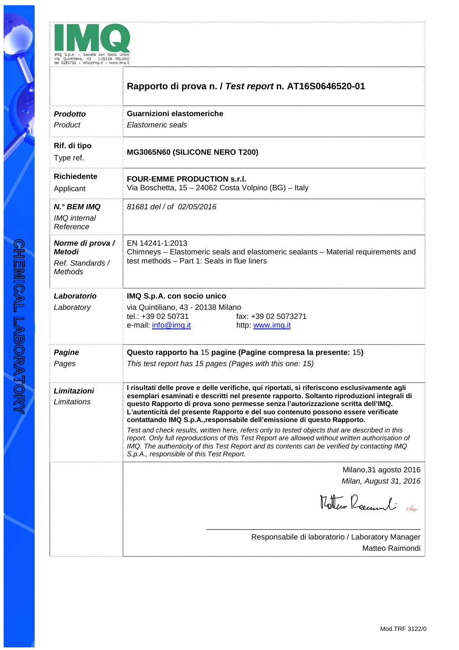

|                                                                         | Rapporto di prova n. / Test report n. AT16S0646520-01                                                                                                                                                                                                                                                                                                                                                                                                                                                                                                                                                                                                                                                                                                                                          |
|-------------------------------------------------------------------------|------------------------------------------------------------------------------------------------------------------------------------------------------------------------------------------------------------------------------------------------------------------------------------------------------------------------------------------------------------------------------------------------------------------------------------------------------------------------------------------------------------------------------------------------------------------------------------------------------------------------------------------------------------------------------------------------------------------------------------------------------------------------------------------------|
| <b>Prodotto</b><br>Product                                              | <b>Guarnizioni elastomeriche</b><br>Elastomeric seals                                                                                                                                                                                                                                                                                                                                                                                                                                                                                                                                                                                                                                                                                                                                          |
| Rif. di tipo<br>Type ref.                                               | MG3065N60 (SILICONE NERO T200)                                                                                                                                                                                                                                                                                                                                                                                                                                                                                                                                                                                                                                                                                                                                                                 |
| <b>Richiedente</b><br>Applicant                                         | <b>FOUR-EMME PRODUCTION s.r.l.</b><br>Via Boschetta, 15 - 24062 Costa Volpino (BG) - Italy                                                                                                                                                                                                                                                                                                                                                                                                                                                                                                                                                                                                                                                                                                     |
| N.º BEM IMQ<br><b>IMQ</b> internal<br>Reference                         | 81681 del / of 02/05/2016                                                                                                                                                                                                                                                                                                                                                                                                                                                                                                                                                                                                                                                                                                                                                                      |
| Norme di prova /<br><b>Metodi</b><br>Ref. Standards /<br><b>Methods</b> | EN 14241-1:2013<br>Chimneys – Elastomeric seals and elastomeric sealants – Material requirements and<br>test methods - Part 1: Seals in flue liners                                                                                                                                                                                                                                                                                                                                                                                                                                                                                                                                                                                                                                            |
| Laboratorio<br>Laboratory                                               | IMQ S.p.A. con socio unico<br>via Quintiliano, 43 - 20138 Milano<br>tel.: +39 02 50731<br>fax: +39 02 5073271<br>e-mail: info@imq.it<br>http: www.imq.it                                                                                                                                                                                                                                                                                                                                                                                                                                                                                                                                                                                                                                       |
| <b>Pagine</b><br>Pages                                                  | Questo rapporto ha 15 pagine (Pagine compresa la presente: 15)<br>This test report has 15 pages (Pages with this one: 15)                                                                                                                                                                                                                                                                                                                                                                                                                                                                                                                                                                                                                                                                      |
| Limitazioni<br>Limitations                                              | I risultati delle prove e delle verifiche, qui riportati, si riferiscono esclusivamente agli<br>esemplari esaminati e descritti nel presente rapporto. Soltanto riproduzioni integrali di<br>questo Rapporto di prova sono permesse senza l'autorizzazione scritta dell'IMQ.<br>L'autenticità del presente Rapporto e del suo contenuto possono essere verificate<br>contattando IMQ S.p.A., responsabile dell'emissione di questo Rapporto.<br>Test and check results, written here, refers only to tested objects that are described in this<br>report. Only full reproductions of this Test Report are allowed without written authorisation of<br>IMQ. The authenticity of this Test Report and its contents can be verified by contacting IMQ<br>S.p.A., responsible of this Test Report. |
|                                                                         | Milano, 31 agosto 2016<br>Milan, August 31, 2016<br>Mother Recunneli                                                                                                                                                                                                                                                                                                                                                                                                                                                                                                                                                                                                                                                                                                                           |
|                                                                         | Responsabile di laboratorio / Laboratory Manager<br>Matteo Raimondi                                                                                                                                                                                                                                                                                                                                                                                                                                                                                                                                                                                                                                                                                                                            |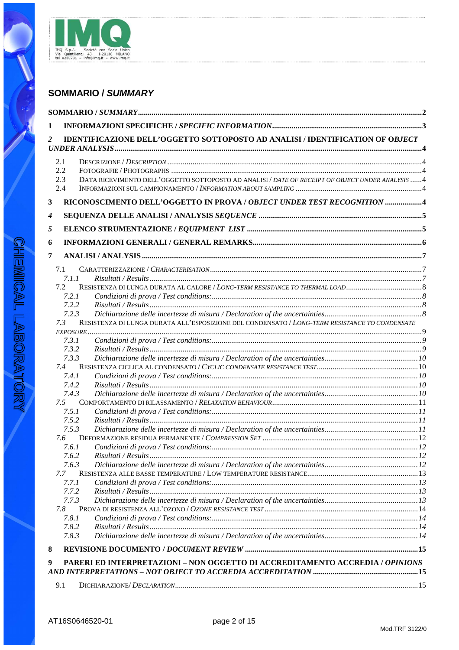

# **SOMMARIO / SUMMARY**

| 1 |              |                                                                                                   |  |
|---|--------------|---------------------------------------------------------------------------------------------------|--|
| 2 |              | IDENTIFICAZIONE DELL'OGGETTO SOTTOPOSTO AD ANALISI / IDENTIFICATION OF OBJECT                     |  |
|   | 2.1          |                                                                                                   |  |
|   | 2.2          |                                                                                                   |  |
|   | 2.3          | DATA RICEVIMENTO DELL'OGGETTO SOTTOPOSTO AD ANALISI / DATE OF RECEIPT OF OBJECT UNDER ANALYSIS  4 |  |
|   | 2.4          |                                                                                                   |  |
| 3 |              | RICONOSCIMENTO DELL'OGGETTO IN PROVA / OBJECT UNDER TEST RECOGNITION 4                            |  |
| 4 |              |                                                                                                   |  |
| 5 |              |                                                                                                   |  |
| 6 |              |                                                                                                   |  |
| 7 |              |                                                                                                   |  |
|   |              |                                                                                                   |  |
|   | 7.1<br>7.1.1 |                                                                                                   |  |
|   | 7.2          | RESISTENZA DI LUNGA DURATA AL CALORE / LONG-TERM RESISTANCE TO THERMAL LOAD                       |  |
|   | 7.2.1        |                                                                                                   |  |
|   | 7.2.2        |                                                                                                   |  |
|   | 7.2.3        |                                                                                                   |  |
|   | 7.3          | RESISTENZA DI LUNGA DURATA ALL'ESPOSIZIONE DEL CONDENSATO / LONG-TERM RESISTANCE TO CONDENSATE    |  |
|   | $EXPOSURE$   |                                                                                                   |  |
|   | 7.3.1        |                                                                                                   |  |
|   | 7.3.2        |                                                                                                   |  |
|   | 7.3.3        |                                                                                                   |  |
|   | 7.4          |                                                                                                   |  |
|   | 7.4.1        |                                                                                                   |  |
|   | 7.4.2        |                                                                                                   |  |
|   | 7.4.3        |                                                                                                   |  |
|   | 7.5<br>7.5.1 |                                                                                                   |  |
|   | 7.5.2        |                                                                                                   |  |
|   | 7.5.3        |                                                                                                   |  |
|   | 7.6          |                                                                                                   |  |
|   | 7.6.1        |                                                                                                   |  |
|   | 7.6.2        |                                                                                                   |  |
|   | 7.6.3        |                                                                                                   |  |
|   | 7.7          |                                                                                                   |  |
|   | 7.7.1        |                                                                                                   |  |
|   | 7.7.2        |                                                                                                   |  |
|   | 7.7.3        |                                                                                                   |  |
|   | 7.8          |                                                                                                   |  |
|   | 7.8.1        |                                                                                                   |  |
|   | 7.8.2        |                                                                                                   |  |
|   | 7.8.3        |                                                                                                   |  |
| 8 |              |                                                                                                   |  |
| 9 |              | PARERI ED INTERPRETAZIONI - NON OGGETTO DI ACCREDITAMENTO ACCREDIA / OPINIONS                     |  |
|   |              | AND INTERPRETATIONS – NOT OBJECT TO ACCREDIA ACCREDITATION ……………………………………………………15                 |  |
|   | 9.1          |                                                                                                   |  |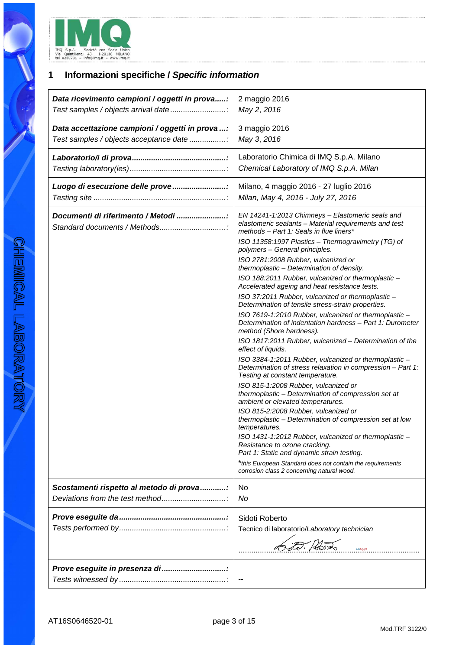

# **1 Informazioni specifiche / Specific information**

| Data ricevimento campioni / oggetti in prova:                     | 2 maggio 2016                                                                                                                                                                                                                                                                                                                                                                                                                                                                                                                                                                                                                                                                                                                                                                                                                                                                                                                                                                                                                                                                                                                                                                                                                                                                                                                                                                                                                                                |
|-------------------------------------------------------------------|--------------------------------------------------------------------------------------------------------------------------------------------------------------------------------------------------------------------------------------------------------------------------------------------------------------------------------------------------------------------------------------------------------------------------------------------------------------------------------------------------------------------------------------------------------------------------------------------------------------------------------------------------------------------------------------------------------------------------------------------------------------------------------------------------------------------------------------------------------------------------------------------------------------------------------------------------------------------------------------------------------------------------------------------------------------------------------------------------------------------------------------------------------------------------------------------------------------------------------------------------------------------------------------------------------------------------------------------------------------------------------------------------------------------------------------------------------------|
| Test samples / objects arrival date                               | May 2, 2016                                                                                                                                                                                                                                                                                                                                                                                                                                                                                                                                                                                                                                                                                                                                                                                                                                                                                                                                                                                                                                                                                                                                                                                                                                                                                                                                                                                                                                                  |
| Data accettazione campioni / oggetti in prova :                   | 3 maggio 2016                                                                                                                                                                                                                                                                                                                                                                                                                                                                                                                                                                                                                                                                                                                                                                                                                                                                                                                                                                                                                                                                                                                                                                                                                                                                                                                                                                                                                                                |
| Test samples / objects acceptance date                            | May 3, 2016                                                                                                                                                                                                                                                                                                                                                                                                                                                                                                                                                                                                                                                                                                                                                                                                                                                                                                                                                                                                                                                                                                                                                                                                                                                                                                                                                                                                                                                  |
|                                                                   | Laboratorio Chimica di IMQ S.p.A. Milano                                                                                                                                                                                                                                                                                                                                                                                                                                                                                                                                                                                                                                                                                                                                                                                                                                                                                                                                                                                                                                                                                                                                                                                                                                                                                                                                                                                                                     |
|                                                                   | Chemical Laboratory of IMQ S.p.A. Milan                                                                                                                                                                                                                                                                                                                                                                                                                                                                                                                                                                                                                                                                                                                                                                                                                                                                                                                                                                                                                                                                                                                                                                                                                                                                                                                                                                                                                      |
| Luogo di esecuzione delle prove                                   | Milano, 4 maggio 2016 - 27 luglio 2016                                                                                                                                                                                                                                                                                                                                                                                                                                                                                                                                                                                                                                                                                                                                                                                                                                                                                                                                                                                                                                                                                                                                                                                                                                                                                                                                                                                                                       |
|                                                                   | Milan, May 4, 2016 - July 27, 2016                                                                                                                                                                                                                                                                                                                                                                                                                                                                                                                                                                                                                                                                                                                                                                                                                                                                                                                                                                                                                                                                                                                                                                                                                                                                                                                                                                                                                           |
| Documenti di riferimento / Metodi<br>Standard documents / Methods | EN 14241-1:2013 Chimneys - Elastomeric seals and<br>elastomeric sealants - Material requirements and test<br>methods - Part 1: Seals in flue liners*<br>ISO 11358:1997 Plastics - Thermogravimetry (TG) of<br>polymers - General principles.<br>ISO 2781:2008 Rubber, vulcanized or<br>thermoplastic - Determination of density.<br>ISO 188:2011 Rubber, vulcanized or thermoplastic -<br>Accelerated ageing and heat resistance tests.<br>ISO 37:2011 Rubber, vulcanized or thermoplastic -<br>Determination of tensile stress-strain properties.<br>ISO 7619-1:2010 Rubber, vulcanized or thermoplastic -<br>Determination of indentation hardness - Part 1: Durometer<br>method (Shore hardness).<br>ISO 1817:2011 Rubber, vulcanized - Determination of the<br>effect of liquids.<br>ISO 3384-1:2011 Rubber, vulcanized or thermoplastic -<br>Determination of stress relaxation in compression - Part 1:<br>Testing at constant temperature.<br>ISO 815-1:2008 Rubber, vulcanized or<br>thermoplastic - Determination of compression set at<br>ambient or elevated temperatures.<br>ISO 815-2:2008 Rubber, vulcanized or<br>thermoplastic - Determination of compression set at low<br>temperatures.<br>ISO 1431-1:2012 Rubber, vulcanized or thermoplastic -<br>Resistance to ozone cracking.<br>Part 1: Static and dynamic strain testing.<br>*this European Standard does not contain the requirements<br>corrosion class 2 concerning natural wood. |
| Scostamenti rispetto al metodo di prova:                          | No                                                                                                                                                                                                                                                                                                                                                                                                                                                                                                                                                                                                                                                                                                                                                                                                                                                                                                                                                                                                                                                                                                                                                                                                                                                                                                                                                                                                                                                           |
| Deviations from the test method                                   | No                                                                                                                                                                                                                                                                                                                                                                                                                                                                                                                                                                                                                                                                                                                                                                                                                                                                                                                                                                                                                                                                                                                                                                                                                                                                                                                                                                                                                                                           |
|                                                                   | Sidoti Roberto<br>Tecnico di laboratorio/Laboratory technician<br>cosign                                                                                                                                                                                                                                                                                                                                                                                                                                                                                                                                                                                                                                                                                                                                                                                                                                                                                                                                                                                                                                                                                                                                                                                                                                                                                                                                                                                     |
| Prove eseguite in presenza di                                     |                                                                                                                                                                                                                                                                                                                                                                                                                                                                                                                                                                                                                                                                                                                                                                                                                                                                                                                                                                                                                                                                                                                                                                                                                                                                                                                                                                                                                                                              |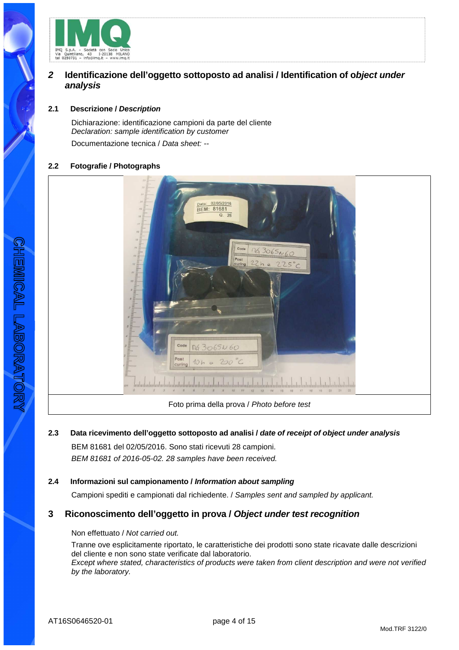

# **2 Identificazione dell'oggetto sottoposto ad analisi / Identification of object under analysis**

## **2.1 Descrizione / Description**

Dichiarazione: identificazione campioni da parte del cliente Declaration: sample identification by customer Documentazione tecnica / Data sheet: --

## **2.2 Fotografie / Photographs**

| $\overline{a}$<br>$22^\circ$<br>21<br>20.<br>Data: 02/05/2016<br>BEM: 81681<br>19.5<br>Q. 28<br>$18 =$<br>17.7<br>$16. \equiv$<br>13.<br>Code<br>22h e 225°C<br>14.3<br>13:<br>Post<br>$12 \equiv$<br>$\frac{1}{2}$<br>վակահակակակակակակակակակակակակակակա<br>Code<br>1263065N60<br>Post<br>curing<br>CITY.<br>$\mathcal{O}^{\mathcal{C}}$<br>22<br>20<br>21<br>74<br>15<br>36<br>18<br>19 |  |
|-------------------------------------------------------------------------------------------------------------------------------------------------------------------------------------------------------------------------------------------------------------------------------------------------------------------------------------------------------------------------------------------|--|
| Foto prima della prova / Photo before test                                                                                                                                                                                                                                                                                                                                                |  |

# **2.3 Data ricevimento dell'oggetto sottoposto ad analisi / date of receipt of object under analysis** BEM 81681 del 02/05/2016. Sono stati ricevuti 28 campioni. BEM 81681 of 2016-05-02. 28 samples have been received.

# **2.4 Informazioni sul campionamento / Information about sampling**

Campioni spediti e campionati dal richiedente. / Samples sent and sampled by applicant.

# **3 Riconoscimento dell'oggetto in prova / Object under test recognition**

#### Non effettuato / Not carried out.

Tranne ove esplicitamente riportato, le caratteristiche dei prodotti sono state ricavate dalle descrizioni del cliente e non sono state verificate dal laboratorio. Except where stated, characteristics of products were taken from client description and were not verified by the laboratory.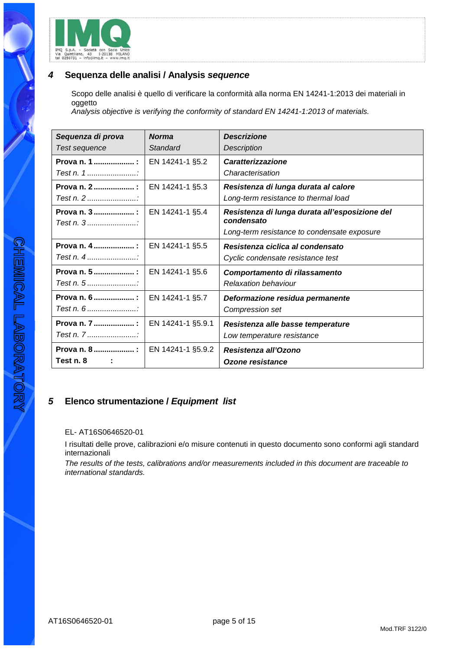

# **4 Sequenza delle analisi / Analysis sequence**

Scopo delle analisi è quello di verificare la conformità alla norma EN 14241-1:2013 dei materiali in oggetto

Analysis objective is verifying the conformity of standard EN 14241-1:2013 of materials.

| Sequenza di prova                                  | <b>Norma</b>      | <b>Descrizione</b>                                           |
|----------------------------------------------------|-------------------|--------------------------------------------------------------|
| Test sequence                                      | Standard          | Description                                                  |
| Prova n. 1  :                                      | EN 14241-1 §5.2   | <b>Caratterizzazione</b>                                     |
|                                                    |                   | Characterisation                                             |
| Prova n. 2                                         | EN 14241-1 §5.3   | Resistenza di lunga durata al calore                         |
|                                                    |                   | Long-term resistance to thermal load                         |
| Prova n. 3  :<br>Test $n, 3, \ldots, n, \ldots, n$ | EN 14241-1 §5.4   | Resistenza di lunga durata all'esposizione del<br>condensato |
|                                                    |                   | Long-term resistance to condensate exposure                  |
| Prova n. 4  :                                      | EN 14241-1 §5.5   | Resistenza ciclica al condensato                             |
| Test n. $4$                                        |                   | Cyclic condensate resistance test                            |
| Prova n. 5  :                                      | EN 14241-1 §5.6   | Comportamento di rilassamento                                |
| Test n. 5                                          |                   | <b>Relaxation behaviour</b>                                  |
| Prova n. 6  :                                      | EN 14241-1 §5.7   | Deformazione residua permanente                              |
| Test n. $6$                                        |                   | Compression set                                              |
| Prova n. 7  :                                      | EN 14241-1 §5.9.1 | Resistenza alle basse temperature                            |
| Test n. 7                                          |                   | Low temperature resistance                                   |
| Prova n. 8 :                                       | EN 14241-1 §5.9.2 | Resistenza all'Ozono                                         |
| Test n. 8                                          |                   | Ozone resistance                                             |

# **5 Elenco strumentazione / Equipment list**

## EL- AT16S0646520-01

I risultati delle prove, calibrazioni e/o misure contenuti in questo documento sono conformi agli standard internazionali

The results of the tests, calibrations and/or measurements included in this document are traceable to international standards.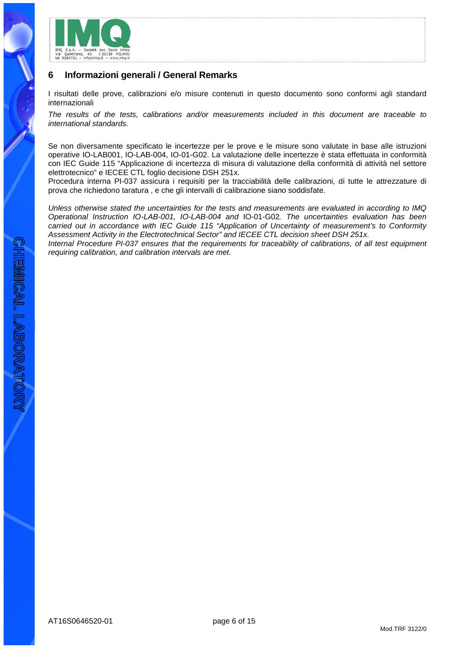

# **6 Informazioni generali / General Remarks**

I risultati delle prove, calibrazioni e/o misure contenuti in questo documento sono conformi agli standard internazionali

The results of the tests, calibrations and/or measurements included in this document are traceable to international standards.

Se non diversamente specificato le incertezze per le prove e le misure sono valutate in base alle istruzioni operative IO-LAB001, IO-LAB-004, IO-01-G02. La valutazione delle incertezze è stata effettuata in conformità con IEC Guide 115 "Applicazione di incertezza di misura di valutazione della conformità di attività nel settore elettrotecnico" e IECEE CTL foglio decisione DSH 251x.

Procedura interna PI-037 assicura i requisiti per la tracciabilità delle calibrazioni, di tutte le attrezzature di prova che richiedono taratura , e che gli intervalli di calibrazione siano soddisfate.

Unless otherwise stated the uncertainties for the tests and measurements are evaluated in according to IMQ Operational Instruction IO-LAB-001, IO-LAB-004 and IO-01-G02. The uncertainties evaluation has been carried out in accordance with IEC Guide 115 "Application of Uncertainty of measurement's to Conformity Assessment Activity in the Electrotechnical Sector" and IECEE CTL decision sheet DSH 251x.

Internal Procedure PI-037 ensures that the requirements for traceability of calibrations, of all test equipment requiring calibration, and calibration intervals are met.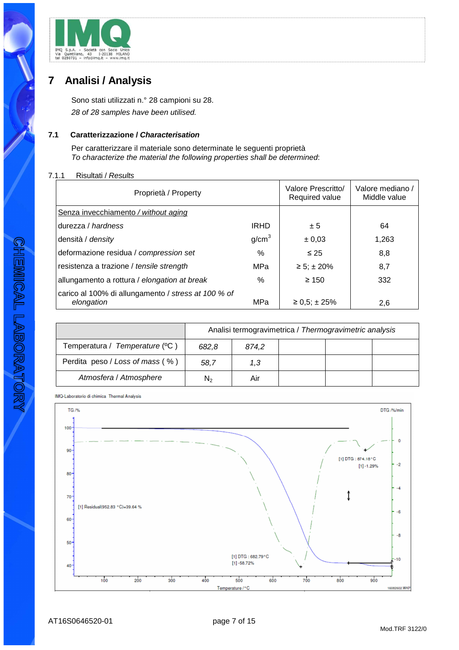

# **7 Analisi / Analysis**

Sono stati utilizzati n.° 28 campioni su 28. 28 of 28 samples have been utilised.

# **7.1 Caratterizzazione / Characterisation**

Per caratterizzare il materiale sono determinate le seguenti proprietà To characterize the material the following properties shall be determined:

#### 7.1.1 Risultati / Results

| Proprietà / Property                                              |                   | Valore Prescritto/<br>Required value | Valore mediano /<br>Middle value |
|-------------------------------------------------------------------|-------------------|--------------------------------------|----------------------------------|
| Senza invecchiamento / without aging                              |                   |                                      |                                  |
| durezza / hardness                                                | <b>IRHD</b>       | ± 5                                  | 64                               |
| densità / <i>density</i>                                          | g/cm <sup>3</sup> | $\pm 0.03$                           | 1,263                            |
| deformazione residua / compression set                            | %                 | $\leq 25$                            | 8,8                              |
| resistenza a trazione / tensile strength                          | MPa               | $\ge 5$ ; ± 20%                      | 8,7                              |
| allungamento a rottura / elongation at break                      | %                 | $\geq 150$                           | 332                              |
| carico al 100% di allungamento / stress at 100 % of<br>elongation | MPa               | $\geq 0.5$ ; ± 25%                   | 2,6                              |

|                                 | Analisi termogravimetrica / Thermogravimetric analysis |       |  |  |  |  |
|---------------------------------|--------------------------------------------------------|-------|--|--|--|--|
| Temperatura / Temperature (°C)  | 682.8                                                  | 874.2 |  |  |  |  |
| Perdita peso / Loss of mass (%) | 58.7                                                   | 1.3   |  |  |  |  |
| Atmosfera / Atmosphere          | N2                                                     | Air   |  |  |  |  |

IMQ-Laboratorio di chimica Thermal Analysis

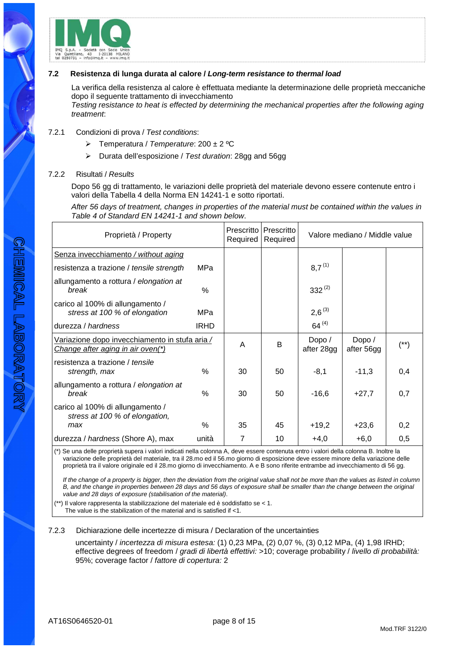

## **7.2 Resistenza di lunga durata al calore / Long-term resistance to thermal load**

La verifica della resistenza al calore è effettuata mediante la determinazione delle proprietà meccaniche dopo il seguente trattamento di invecchiamento Testing resistance to heat is effected by determining the mechanical properties after the following aging treatment:

## 7.2.1 Condizioni di prova / Test conditions:

- $\triangleright$  Temperatura / Temperature: 200 ± 2 °C
- Durata dell'esposizione / Test duration: 28gg and 56gg

#### 7.2.2 Risultati / Results

Dopo 56 gg di trattamento, le variazioni delle proprietà del materiale devono essere contenute entro i valori della Tabella 4 della Norma EN 14241-1 e sotto riportati.

After 56 days of treatment, changes in properties of the material must be contained within the values in Table 4 of Standard EN 14241-1 and shown below.

| Proprietà / Property                                                                |               | Prescritto<br>Required | Prescritto<br>Required | Valore mediano / Middle value |                      |      |
|-------------------------------------------------------------------------------------|---------------|------------------------|------------------------|-------------------------------|----------------------|------|
| Senza invecchiamento / without aging                                                |               |                        |                        |                               |                      |      |
| resistenza a trazione / tensile strength                                            | MPa           |                        |                        | $8,7^{(1)}$                   |                      |      |
| allungamento a rottura / elongation at<br>break                                     | $\%$          |                        |                        | $332^{(2)}$                   |                      |      |
| carico al 100% di allungamento /<br>stress at 100 % of elongation                   | MPa           |                        |                        | $2,6^{(3)}$                   |                      |      |
| durezza / hardness                                                                  | <b>IRHD</b>   |                        |                        | $64^{(4)}$                    |                      |      |
| Variazione dopo invecchiamento in stufa aria /<br>Change after aging in air oven(*) |               | A                      | B                      | Dopo /<br>after 28gg          | Dopo /<br>after 56gg | (**) |
| resistenza a trazione / tensile<br>strength, max                                    | $\%$          | 30                     | 50                     | $-8,1$                        | $-11,3$              | 0,4  |
| allungamento a rottura / elongation at<br>break                                     | $\frac{0}{0}$ | 30                     | 50                     | $-16,6$                       | $+27,7$              | 0,7  |
| carico al 100% di allungamento /<br>stress at 100 % of elongation,                  |               |                        |                        |                               |                      |      |
| max                                                                                 | $\%$          | 35                     | 45                     | $+19,2$                       | $+23,6$              | 0,2  |
| durezza / hardness (Shore A), max                                                   | unità         | 7                      | 10                     | $+4,0$                        | $+6,0$               | 0,5  |

(\*) Se una delle proprietà supera i valori indicati nella colonna A, deve essere contenuta entro i valori della colonna B. Inoltre la variazione delle proprietà del materiale, tra il 28.mo ed il 56.mo giorno di esposizione deve essere minore della variazione delle proprietà tra il valore originale ed il 28.mo giorno di invecchiamento. A e B sono riferite entrambe ad invecchiamento di 56 gg.

If the change of a property is bigger, then the deviation from the original value shall not be more than the values as listed in column B, and the change in properties between 28 days and 56 days of exposure shall be smaller than the change between the original value and 28 days of exposure (stabilisation of the material).

 $(*)$  Il valore rappresenta la stabilizzazione del materiale ed è soddisfatto se < 1. The value is the stabilization of the material and is satisfied if <1.

#### 7.2.3 Dichiarazione delle incertezze di misura / Declaration of the uncertainties

uncertainty / incertezza di misura estesa: (1) 0,23 MPa, (2) 0,07 %, (3) 0,12 MPa, (4) 1,98 IRHD; effective degrees of freedom / gradi di libertà effettivi: >10; coverage probability / livello di probabilità: 95%; coverage factor / fattore di copertura: 2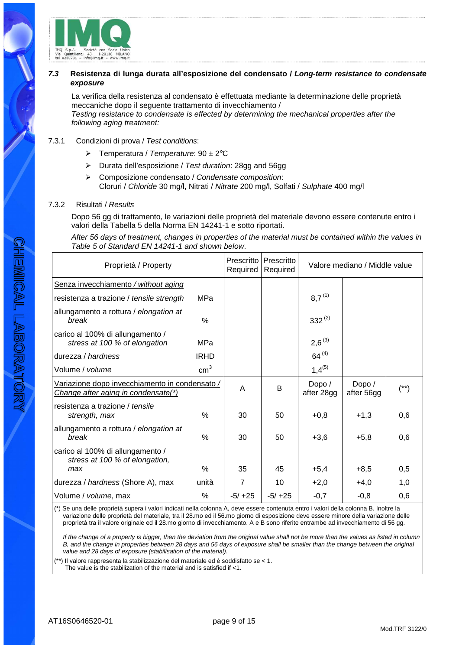

## **7.3 Resistenza di lunga durata all'esposizione del condensato / Long-term resistance to condensate exposure**

La verifica della resistenza al condensato è effettuata mediante la determinazione delle proprietà meccaniche dopo il seguente trattamento di invecchiamento / Testing resistance to condensate is effected by determining the mechanical properties after the following aging treatment:

## 7.3.1 Condizioni di prova / Test conditions:

- $\triangleright$  Temperatura / Temperature: 90  $\pm$  2°C
- $\triangleright$  Durata dell'esposizione / Test duration: 28gg and 56gg
- Composizione condensato / Condensate composition: Cloruri / Chloride 30 mg/l, Nitrati / Nitrate 200 mg/l, Solfati / Sulphate 400 mg/l

#### 7.3.2 Risultati / Results

Dopo 56 gg di trattamento, le variazioni delle proprietà del materiale devono essere contenute entro i valori della Tabella 5 della Norma EN 14241-1 e sotto riportati.

After 56 days of treatment, changes in properties of the material must be contained within the values in Table 5 of Standard EN 14241-1 and shown below.

| Proprietà / Property                                                                  |                 | Prescritto<br>Required | Prescritto<br>Required |                     | Valore mediano / Middle value |          |
|---------------------------------------------------------------------------------------|-----------------|------------------------|------------------------|---------------------|-------------------------------|----------|
| Senza invecchiamento / without aging                                                  |                 |                        |                        |                     |                               |          |
| resistenza a trazione / tensile strength                                              | MPa             |                        |                        | $8,7^{(1)}$         |                               |          |
| allungamento a rottura / elongation at<br>break                                       | $\%$            |                        |                        | $332^{(2)}$         |                               |          |
| carico al 100% di allungamento /<br>stress at 100 % of elongation                     | MPa             |                        |                        | $2,6^{(3)}$         |                               |          |
| durezza / hardness                                                                    | <b>IRHD</b>     |                        |                        | $64^{(4)}$          |                               |          |
| Volume / volume                                                                       | cm <sup>3</sup> |                        |                        | $1,4^{(5)}$         |                               |          |
| Variazione dopo invecchiamento in condensato /<br>Change after aging in condensate(*) |                 | A                      | B                      | Dopo/<br>after 28gg | Dopo /<br>after 56gg          | $^{(*)}$ |
| resistenza a trazione / tensile<br>strength, max                                      | %               | 30                     | 50                     | $+0,8$              | $+1,3$                        | 0,6      |
| allungamento a rottura / elongation at<br>break                                       | $\frac{0}{0}$   | 30                     | 50                     | $+3,6$              | $+5,8$                        | 0,6      |
| carico al 100% di allungamento /<br>stress at 100 % of elongation,                    |                 |                        |                        |                     |                               |          |
| max                                                                                   | $\%$            | 35                     | 45                     | $+5,4$              | $+8,5$                        | 0,5      |
| durezza / hardness (Shore A), max                                                     | unità           | 7                      | 10                     | $+2,0$              | $+4,0$                        | 1,0      |
| Volume / volume, max                                                                  | %               | $-5/ +25$              | $-5/ +25$              | $-0,7$              | $-0,8$                        | 0,6      |

(\*) Se una delle proprietà supera i valori indicati nella colonna A, deve essere contenuta entro i valori della colonna B. Inoltre la variazione delle proprietà del materiale, tra il 28.mo ed il 56.mo giorno di esposizione deve essere minore della variazione delle proprietà tra il valore originale ed il 28.mo giorno di invecchiamento. A e B sono riferite entrambe ad invecchiamento di 56 gg.

If the change of a property is bigger, then the deviation from the original value shall not be more than the values as listed in column B, and the change in properties between 28 days and 56 days of exposure shall be smaller than the change between the original value and 28 days of exposure (stabilisation of the material).

(\*\*) Il valore rappresenta la stabilizzazione del materiale ed è soddisfatto se < 1. The value is the stabilization of the material and is satisfied if <1.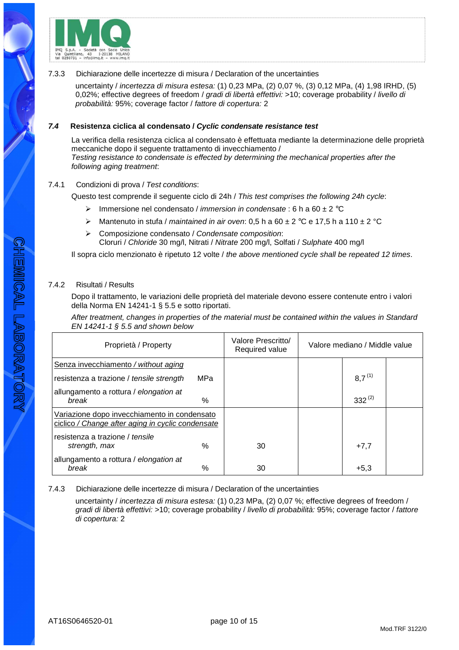

#### 7.3.3 Dichiarazione delle incertezze di misura / Declaration of the uncertainties

uncertainty / incertezza di misura estesa: (1) 0,23 MPa, (2) 0,07 %, (3) 0,12 MPa, (4) 1,98 IRHD, (5) 0,02%; effective degrees of freedom / gradi di libertà effettivi: >10; coverage probability / livello di probabilità: 95%; coverage factor / fattore di copertura: 2

## **7.4 Resistenza ciclica al condensato / Cyclic condensate resistance test**

La verifica della resistenza ciclica al condensato è effettuata mediante la determinazione delle proprietà meccaniche dopo il seguente trattamento di invecchiamento / Testing resistance to condensate is effected by determining the mechanical properties after the following aging treatment:

## 7.4.1 Condizioni di prova / Test conditions:

Questo test comprende il seguente ciclo di 24h / This test comprises the following 24h cycle:

- Immersione nel condensato / *immersion in condensate* : 6 h a 60  $\pm$  2 °C
- A Mantenuto in stufa / maintained in air oven: 0,5 h a 60  $\pm$  2 °C e 17,5 h a 110  $\pm$  2 °C
- $\triangleright$  Composizione condensato / Condensate composition: Cloruri / Chloride 30 mg/l, Nitrati / Nitrate 200 mg/l, Solfati / Sulphate 400 mg/l

Il sopra ciclo menzionato è ripetuto 12 volte / the above mentioned cycle shall be repeated 12 times.

# 7.4.2 Risultati / Results

Dopo il trattamento, le variazioni delle proprietà del materiale devono essere contenute entro i valori della Norma EN 14241-1 § 5.5 e sotto riportati.

After treatment, changes in properties of the material must be contained within the values in Standard EN 14241-1 § 5.5 and shown below

| Proprietà / Property                                                                              | Valore Prescritto/<br>Required value | Valore mediano / Middle value |  |             |  |
|---------------------------------------------------------------------------------------------------|--------------------------------------|-------------------------------|--|-------------|--|
| Senza invecchiamento / without aging                                                              |                                      |                               |  |             |  |
| resistenza a trazione / tensile strength                                                          | <b>MPa</b>                           |                               |  | $8.7^{(1)}$ |  |
| allungamento a rottura / elongation at<br>break                                                   | $\%$                                 |                               |  | $332^{(2)}$ |  |
| Variazione dopo invecchiamento in condensato<br>ciclico / Change after aging in cyclic condensate |                                      |                               |  |             |  |
| resistenza a trazione / tensile<br>strength, max                                                  | $\%$                                 | 30                            |  | $+7,7$      |  |
| allungamento a rottura / elongation at<br>$\%$<br>break                                           |                                      | 30                            |  | $+5,3$      |  |

7.4.3 Dichiarazione delle incertezze di misura / Declaration of the uncertainties

uncertainty / incertezza di misura estesa: (1) 0,23 MPa, (2) 0,07 %; effective degrees of freedom / gradi di libertà effettivi: >10; coverage probability / livello di probabilità: 95%; coverage factor / fattore di copertura: 2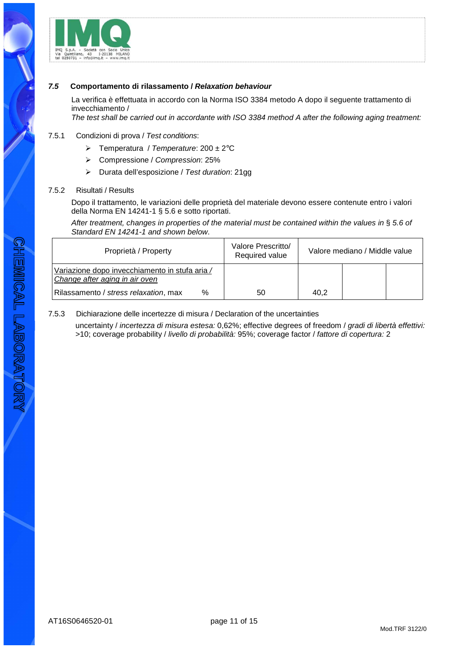

## **7.5 Comportamento di rilassamento / Relaxation behaviour**

La verifica è effettuata in accordo con la Norma ISO 3384 metodo A dopo il seguente trattamento di invecchiamento /

The test shall be carried out in accordante with ISO 3384 method A after the following aging treatment:

#### 7.5.1 Condizioni di prova / Test conditions:

- $\triangleright$  Temperatura / Temperature: 200 ± 2°C
- Compressione / Compression: 25%
- Durata dell'esposizione / Test duration: 21gg

#### 7.5.2 Risultati / Results

Dopo il trattamento, le variazioni delle proprietà del materiale devono essere contenute entro i valori della Norma EN 14241-1 § 5.6 e sotto riportati.

After treatment, changes in properties of the material must be contained within the values in § 5.6 of Standard EN 14241-1 and shown below.

| Proprietà / Property                                                             | Valore Prescritto/<br>Required value |      | Valore mediano / Middle value |
|----------------------------------------------------------------------------------|--------------------------------------|------|-------------------------------|
| Variazione dopo invecchiamento in stufa aria /<br>Change after aging in air oven |                                      |      |                               |
| Rilassamento / stress relaxation, max<br>$\%$                                    | 50                                   | 40.2 |                               |

#### 7.5.3 Dichiarazione delle incertezze di misura / Declaration of the uncertainties

uncertainty / incertezza di misura estesa: 0,62%; effective degrees of freedom / gradi di libertà effettivi: >10; coverage probability / livello di probabilità: 95%; coverage factor / fattore di copertura: 2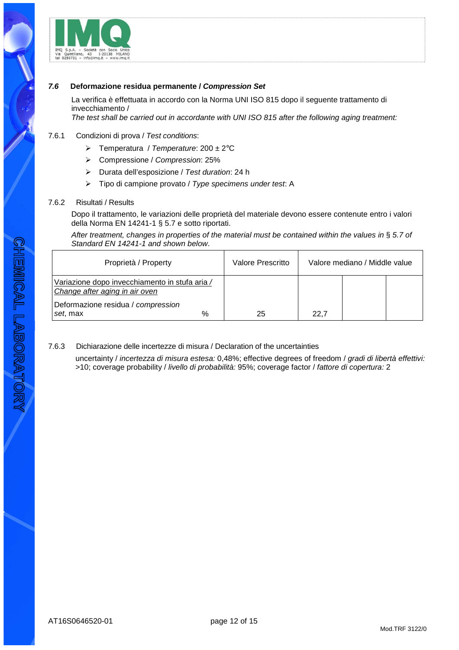

## **7.6 Deformazione residua permanente / Compression Set**

La verifica è effettuata in accordo con la Norma UNI ISO 815 dopo il seguente trattamento di invecchiamento /

The test shall be carried out in accordante with UNI ISO 815 after the following aging treatment:

## 7.6.1 Condizioni di prova / Test conditions:

- $\triangleright$  Temperatura / Temperature: 200 ± 2°C
- Compressione / Compression: 25%
- Durata dell'esposizione / Test duration: 24 h
- $\triangleright$  Tipo di campione provato / Type specimens under test: A

#### 7.6.2 Risultati / Results

Dopo il trattamento, le variazioni delle proprietà del materiale devono essere contenute entro i valori della Norma EN 14241-1 § 5.7 e sotto riportati.

After treatment, changes in properties of the material must be contained within the values in § 5.7 of Standard EN 14241-1 and shown below.

| Proprietà / Property                                                             | Valore Prescritto |      | Valore mediano / Middle value |
|----------------------------------------------------------------------------------|-------------------|------|-------------------------------|
| Variazione dopo invecchiamento in stufa aria /<br>Change after aging in air oven |                   |      |                               |
| Deformazione residua / compression<br>%<br>set, max                              | 25                | 22.7 |                               |

## 7.6.3 Dichiarazione delle incertezze di misura / Declaration of the uncertainties

uncertainty / incertezza di misura estesa: 0,48%; effective degrees of freedom / gradi di libertà effettivi: >10; coverage probability / livello di probabilità: 95%; coverage factor / fattore di copertura: 2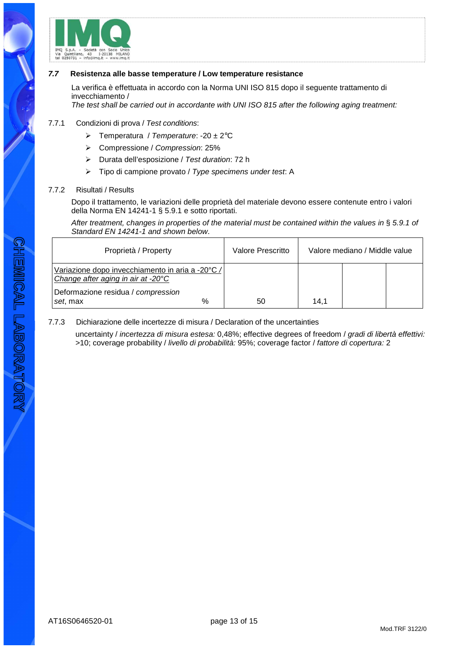

#### **7.7 Resistenza alle basse temperature / Low temperature resistance**

La verifica è effettuata in accordo con la Norma UNI ISO 815 dopo il seguente trattamento di invecchiamento /

The test shall be carried out in accordante with UNI ISO 815 after the following aging treatment:

#### 7.7.1 Condizioni di prova / Test conditions:

- $\triangleright$  Temperatura / Temperature: -20 ± 2°C
- Compressione / Compression: 25%
- $\triangleright$  Durata dell'esposizione / Test duration: 72 h
- $\triangleright$  Tipo di campione provato / Type specimens under test: A

#### 7.7.2 Risultati / Results

Dopo il trattamento, le variazioni delle proprietà del materiale devono essere contenute entro i valori della Norma EN 14241-1 § 5.9.1 e sotto riportati.

After treatment, changes in properties of the material must be contained within the values in § 5.9.1 of Standard EN 14241-1 and shown below.

| Proprietà / Property                                                                   | Valore Prescritto | Valore mediano / Middle value |  |  |
|----------------------------------------------------------------------------------------|-------------------|-------------------------------|--|--|
| Variazione dopo invecchiamento in aria a -20°C /<br>Change after aging in air at -20°C |                   |                               |  |  |
| Deformazione residua / compression<br>%<br>set, max                                    | 50                | 14.1                          |  |  |

#### 7.7.3 Dichiarazione delle incertezze di misura / Declaration of the uncertainties

uncertainty / incertezza di misura estesa: 0,48%; effective degrees of freedom / gradi di libertà effettivi: >10; coverage probability / livello di probabilità: 95%; coverage factor / fattore di copertura: 2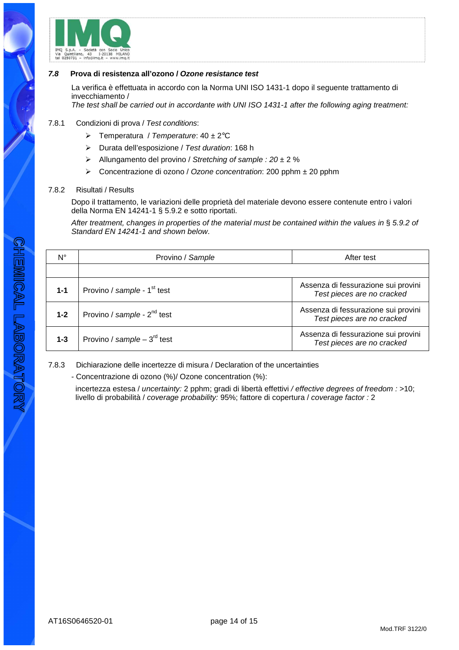

#### **7.8 Prova di resistenza all'ozono / Ozone resistance test**

La verifica è effettuata in accordo con la Norma UNI ISO 1431-1 dopo il seguente trattamento di invecchiamento /

The test shall be carried out in accordante with UNI ISO 1431-1 after the following aging treatment:

#### 7.8.1 Condizioni di prova / Test conditions:

- $\triangleright$  Temperatura / Temperature: 40 ± 2°C
- Durata dell'esposizione / Test duration: 168 h
- $\triangleright$  Allungamento del provino / Stretching of sample : 20 ± 2 %
- Concentrazione di ozono / Ozone concentration: 200 pphm ± 20 pphm

#### 7.8.2 Risultati / Results

Dopo il trattamento, le variazioni delle proprietà del materiale devono essere contenute entro i valori della Norma EN 14241-1 § 5.9.2 e sotto riportati.

After treatment, changes in properties of the material must be contained within the values in § 5.9.2 of Standard EN 14241-1 and shown below.

| $N^{\circ}$ | Provino / Sample                        | After test                                                        |  |  |
|-------------|-----------------------------------------|-------------------------------------------------------------------|--|--|
|             |                                         |                                                                   |  |  |
| $1 - 1$     | Provino / sample - 1 <sup>st</sup> test | Assenza di fessurazione sui provini<br>Test pieces are no cracked |  |  |
| $1 - 2$     | Provino / sample - 2 <sup>nd</sup> test | Assenza di fessurazione sui provini<br>Test pieces are no cracked |  |  |
| $1 - 3$     | Provino / sample – $3^{\text{rd}}$ test | Assenza di fessurazione sui provini<br>Test pieces are no cracked |  |  |

7.8.3 Dichiarazione delle incertezze di misura / Declaration of the uncertainties

- Concentrazione di ozono (%)/ Ozone concentration (%):

incertezza estesa / uncertainty: 2 pphm; gradi di libertà effettivi / effective degrees of freedom : >10; livello di probabilità / coverage probability: 95%; fattore di copertura / coverage factor : 2